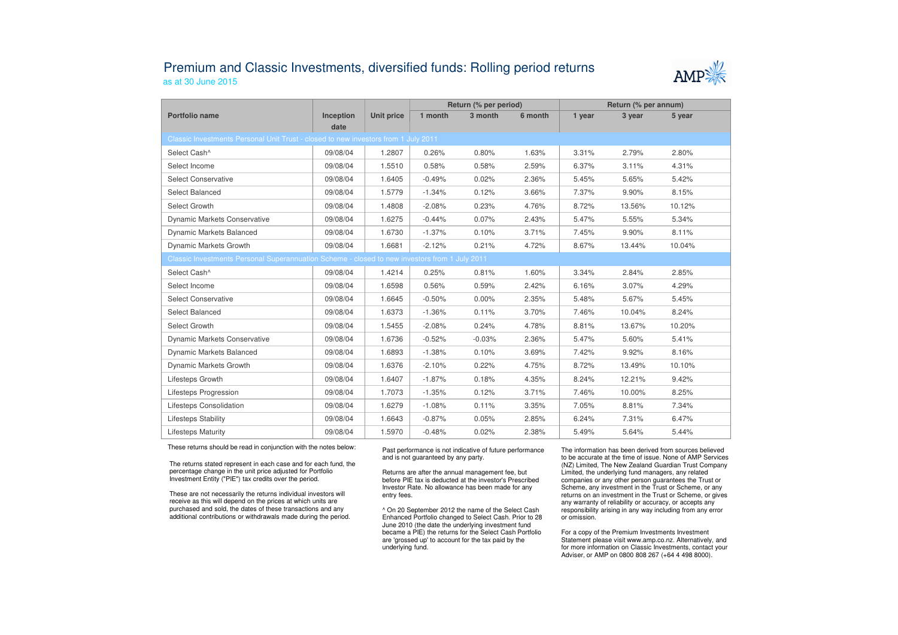## Premium and Classic Investments, diversified funds: Rolling period returnsas at 30 June 2015



|                                                                                               |                   |                   | Return (% per period) |          |         | Return (% per annum) |        |        |  |
|-----------------------------------------------------------------------------------------------|-------------------|-------------------|-----------------------|----------|---------|----------------------|--------|--------|--|
| Portfolio name                                                                                | Inception<br>date | <b>Unit price</b> | 1 month               | 3 month  | 6 month | 1 year               | 3 year | 5 year |  |
| Classic Investments Personal Unit Trust - closed to new investors from 1 July 2011            |                   |                   |                       |          |         |                      |        |        |  |
| Select Cash^                                                                                  | 09/08/04          | 1.2807            | 0.26%                 | 0.80%    | 1.63%   | 3.31%                | 2.79%  | 2.80%  |  |
| Select Income                                                                                 | 09/08/04          | 1.5510            | 0.58%                 | 0.58%    | 2.59%   | 6.37%                | 3.11%  | 4.31%  |  |
| <b>Select Conservative</b>                                                                    | 09/08/04          | 1.6405            | $-0.49%$              | 0.02%    | 2.36%   | 5.45%                | 5.65%  | 5.42%  |  |
| Select Balanced                                                                               | 09/08/04          | 1.5779            | $-1.34%$              | 0.12%    | 3.66%   | 7.37%                | 9.90%  | 8.15%  |  |
| Select Growth                                                                                 | 09/08/04          | 1.4808            | $-2.08%$              | 0.23%    | 4.76%   | 8.72%                | 13.56% | 10.12% |  |
| <b>Dynamic Markets Conservative</b>                                                           | 09/08/04          | 1.6275            | $-0.44%$              | 0.07%    | 2.43%   | 5.47%                | 5.55%  | 5.34%  |  |
| <b>Dynamic Markets Balanced</b>                                                               | 09/08/04          | 1.6730            | $-1.37%$              | 0.10%    | 3.71%   | 7.45%                | 9.90%  | 8.11%  |  |
| Dynamic Markets Growth                                                                        | 09/08/04          | 1.6681            | $-2.12%$              | 0.21%    | 4.72%   | 8.67%                | 13.44% | 10.04% |  |
| Classic Investments Personal Superannuation Scheme - closed to new investors from 1 July 2011 |                   |                   |                       |          |         |                      |        |        |  |
| Select Cash^                                                                                  | 09/08/04          | 1.4214            | 0.25%                 | 0.81%    | 1.60%   | 3.34%                | 2.84%  | 2.85%  |  |
| Select Income                                                                                 | 09/08/04          | 1.6598            | 0.56%                 | 0.59%    | 2.42%   | 6.16%                | 3.07%  | 4.29%  |  |
| <b>Select Conservative</b>                                                                    | 09/08/04          | 1.6645            | $-0.50%$              | 0.00%    | 2.35%   | 5.48%                | 5.67%  | 5.45%  |  |
| Select Balanced                                                                               | 09/08/04          | 1.6373            | $-1.36%$              | 0.11%    | 3.70%   | 7.46%                | 10.04% | 8.24%  |  |
| Select Growth                                                                                 | 09/08/04          | 1.5455            | $-2.08%$              | 0.24%    | 4.78%   | 8.81%                | 13.67% | 10.20% |  |
| <b>Dynamic Markets Conservative</b>                                                           | 09/08/04          | 1.6736            | $-0.52%$              | $-0.03%$ | 2.36%   | 5.47%                | 5.60%  | 5.41%  |  |
| Dynamic Markets Balanced                                                                      | 09/08/04          | 1.6893            | $-1.38%$              | 0.10%    | 3.69%   | 7.42%                | 9.92%  | 8.16%  |  |
| Dynamic Markets Growth                                                                        | 09/08/04          | 1.6376            | $-2.10%$              | 0.22%    | 4.75%   | 8.72%                | 13.49% | 10.10% |  |
| Lifesteps Growth                                                                              | 09/08/04          | 1.6407            | $-1.87%$              | 0.18%    | 4.35%   | 8.24%                | 12.21% | 9.42%  |  |
| <b>Lifesteps Progression</b>                                                                  | 09/08/04          | 1.7073            | $-1.35%$              | 0.12%    | 3.71%   | 7.46%                | 10.00% | 8.25%  |  |
| Lifesteps Consolidation                                                                       | 09/08/04          | 1.6279            | $-1.08%$              | 0.11%    | 3.35%   | 7.05%                | 8.81%  | 7.34%  |  |
| Lifesteps Stability                                                                           | 09/08/04          | 1.6643            | $-0.87%$              | 0.05%    | 2.85%   | 6.24%                | 7.31%  | 6.47%  |  |
| <b>Lifesteps Maturity</b>                                                                     | 09/08/04          | 1.5970            | $-0.48%$              | 0.02%    | 2.38%   | 5.49%                | 5.64%  | 5.44%  |  |

These returns should be read in conjunction with the notes below:

The returns stated represent in each case and for each fund, the percentage change in the unit price adjusted for Portfolio Investment Entity ("PIE") tax credits over the period.

These are not necessarily the returns individual investors will receive as this will depend on the prices at which units are purchased and sold, the dates of these transactions and any additional contributions or withdrawals made during the period. Past performance is not indicative of future performance and is not guaranteed by any party.

Returns are after the annual management fee, but before PIE tax is deducted at the investor's Prescribed Investor Rate. No allowance has been made for any entry fees.

^ On 20 September 2012 the name of the Select Cash Enhanced Portfolio changed to Select Cash. Prior to 28 June 2010 (the date the underlying investment fund became a PIE) the returns for the Select Cash Portfolio are 'grossed up' to account for the tax paid by theunderlying fund.

The information has been derived from sources believed to be accurate at the time of issue. None of AMP Services (NZ) Limited, The New Zealand Guardian Trust Company Limited, the underlying fund managers, any related companies or any other person guarantees the Trust or Scheme, any investment in the Trust or Scheme, or any returns on an investment in the Trust or Scheme, or gives any warranty of reliability or accuracy, or accepts any responsibility arising in any way including from any error or omission.

For a copy of the Premium Investments Investment Statement please visit www.amp.co.nz. Alternatively, and for more information on Classic Investments, contact your Adviser, or AMP on 0800 808 267 (+64 4 498 8000).